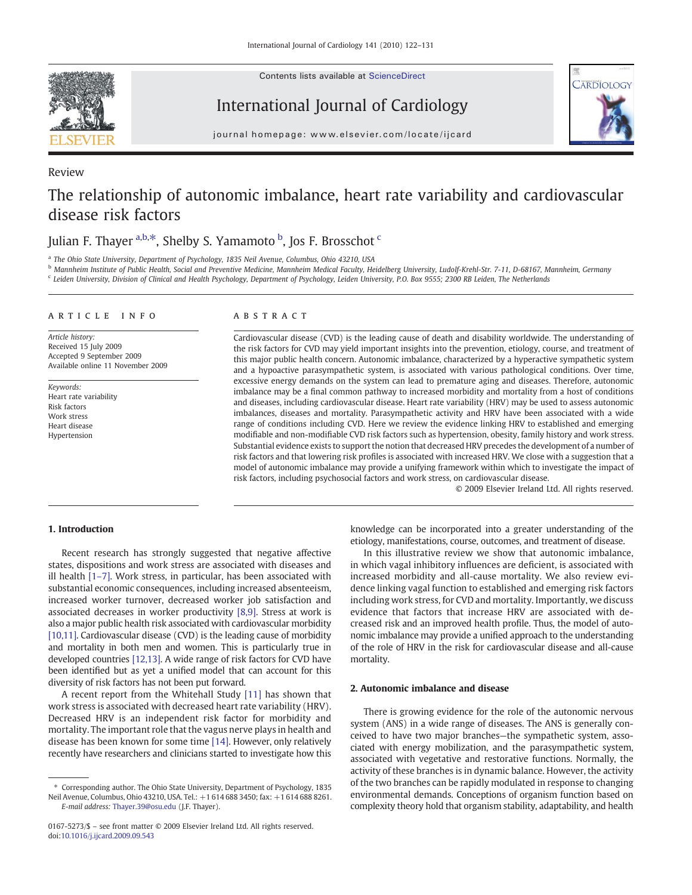

Review

Contents lists available at ScienceDirect

## International Journal of Cardiology



journal homepage: www.elsevier.com/locate/ijcard

# The relationship of autonomic imbalance, heart rate variability and cardiovascular disease risk factors

## Julian F. Thayer <sup>a,b,\*</sup>, Shelby S. Yamamoto <sup>b</sup>, Jos F. Brosschot <sup>c</sup>

a The Ohio State University, Department of Psychology, 1835 Neil Avenue, Columbus, Ohio 43210, USA

<sup>b</sup> Mannheim Institute of Public Health, Social and Preventive Medicine, Mannheim Medical Faculty, Heidelberg University, Ludolf-Krehl-Str. 7-11, D-68167, Mannheim, Germany <sup>c</sup> Leiden University, Division of Clinical and Health Psychology, Department of Psychology, Leiden University, P.O. Box 9555; 2300 RB Leiden, The Netherlands

#### article info abstract

Article history: Received 15 July 2009 Accepted 9 September 2009 Available online 11 November 2009

Keywords: Heart rate variability Risk factors Work stress Heart disease Hypertension

Cardiovascular disease (CVD) is the leading cause of death and disability worldwide. The understanding of the risk factors for CVD may yield important insights into the prevention, etiology, course, and treatment of this major public health concern. Autonomic imbalance, characterized by a hyperactive sympathetic system and a hypoactive parasympathetic system, is associated with various pathological conditions. Over time, excessive energy demands on the system can lead to premature aging and diseases. Therefore, autonomic imbalance may be a final common pathway to increased morbidity and mortality from a host of conditions and diseases, including cardiovascular disease. Heart rate variability (HRV) may be used to assess autonomic imbalances, diseases and mortality. Parasympathetic activity and HRV have been associated with a wide range of conditions including CVD. Here we review the evidence linking HRV to established and emerging modifiable and non-modifiable CVD risk factors such as hypertension, obesity, family history and work stress. Substantial evidence exists to support the notion that decreased HRV precedes the development of a number of risk factors and that lowering risk profiles is associated with increased HRV. We close with a suggestion that a model of autonomic imbalance may provide a unifying framework within which to investigate the impact of risk factors, including psychosocial factors and work stress, on cardiovascular disease.

© 2009 Elsevier Ireland Ltd. All rights reserved.

#### 1. Introduction

Recent research has strongly suggested that negative affective states, dispositions and work stress are associated with diseases and ill health [1–7]. Work stress, in particular, has been associated with substantial economic consequences, including increased absenteeism, increased worker turnover, decreased worker job satisfaction and associated decreases in worker productivity [8,9]. Stress at work is also a major public health risk associated with cardiovascular morbidity [10,11]. Cardiovascular disease (CVD) is the leading cause of morbidity and mortality in both men and women. This is particularly true in developed countries [12,13]. A wide range of risk factors for CVD have been identified but as yet a unified model that can account for this diversity of risk factors has not been put forward.

A recent report from the Whitehall Study [11] has shown that work stress is associated with decreased heart rate variability (HRV). Decreased HRV is an independent risk factor for morbidity and mortality. The important role that the vagus nerve plays in health and disease has been known for some time [14]. However, only relatively recently have researchers and clinicians started to investigate how this knowledge can be incorporated into a greater understanding of the etiology, manifestations, course, outcomes, and treatment of disease.

In this illustrative review we show that autonomic imbalance, in which vagal inhibitory influences are deficient, is associated with increased morbidity and all-cause mortality. We also review evidence linking vagal function to established and emerging risk factors including work stress, for CVD and mortality. Importantly, we discuss evidence that factors that increase HRV are associated with decreased risk and an improved health profile. Thus, the model of autonomic imbalance may provide a unified approach to the understanding of the role of HRV in the risk for cardiovascular disease and all-cause mortality.

#### 2. Autonomic imbalance and disease

There is growing evidence for the role of the autonomic nervous system (ANS) in a wide range of diseases. The ANS is generally conceived to have two major branches—the sympathetic system, associated with energy mobilization, and the parasympathetic system, associated with vegetative and restorative functions. Normally, the activity of these branches is in dynamic balance. However, the activity of the two branches can be rapidly modulated in response to changing environmental demands. Conceptions of organism function based on complexity theory hold that organism stability, adaptability, and health

<sup>⁎</sup> Corresponding author. The Ohio State University, Department of Psychology, 1835 Neil Avenue, Columbus, Ohio 43210, USA. Tel.: +1 614 688 3450; fax: +1 614 688 8261. E-mail address: Thayer.39@osu.edu (J.F. Thayer).

<sup>0167-5273/\$</sup> – see front matter © 2009 Elsevier Ireland Ltd. All rights reserved. doi:10.1016/j.ijcard.2009.09.543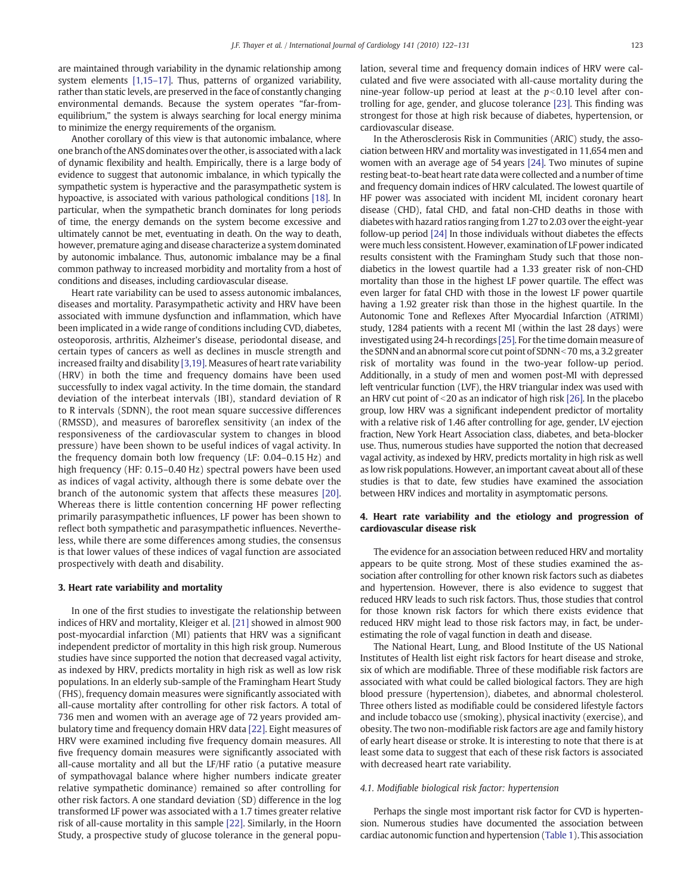are maintained through variability in the dynamic relationship among system elements [1,15–17]. Thus, patterns of organized variability, rather than static levels, are preserved in the face of constantly changing environmental demands. Because the system operates "far-fromequilibrium," the system is always searching for local energy minima to minimize the energy requirements of the organism.

Another corollary of this view is that autonomic imbalance, where one branch of the ANS dominates over the other, is associated with a lack of dynamic flexibility and health. Empirically, there is a large body of evidence to suggest that autonomic imbalance, in which typically the sympathetic system is hyperactive and the parasympathetic system is hypoactive, is associated with various pathological conditions [18]. In particular, when the sympathetic branch dominates for long periods of time, the energy demands on the system become excessive and ultimately cannot be met, eventuating in death. On the way to death, however, premature aging and disease characterize a system dominated by autonomic imbalance. Thus, autonomic imbalance may be a final common pathway to increased morbidity and mortality from a host of conditions and diseases, including cardiovascular disease.

Heart rate variability can be used to assess autonomic imbalances, diseases and mortality. Parasympathetic activity and HRV have been associated with immune dysfunction and inflammation, which have been implicated in a wide range of conditions including CVD, diabetes, osteoporosis, arthritis, Alzheimer's disease, periodontal disease, and certain types of cancers as well as declines in muscle strength and increased frailty and disability [3,19]. Measures of heart rate variability (HRV) in both the time and frequency domains have been used successfully to index vagal activity. In the time domain, the standard deviation of the interbeat intervals (IBI), standard deviation of R to R intervals (SDNN), the root mean square successive differences (RMSSD), and measures of baroreflex sensitivity (an index of the responsiveness of the cardiovascular system to changes in blood pressure) have been shown to be useful indices of vagal activity. In the frequency domain both low frequency (LF: 0.04–0.15 Hz) and high frequency (HF: 0.15–0.40 Hz) spectral powers have been used as indices of vagal activity, although there is some debate over the branch of the autonomic system that affects these measures [20]. Whereas there is little contention concerning HF power reflecting primarily parasympathetic influences, LF power has been shown to reflect both sympathetic and parasympathetic influences. Nevertheless, while there are some differences among studies, the consensus is that lower values of these indices of vagal function are associated prospectively with death and disability.

#### 3. Heart rate variability and mortality

In one of the first studies to investigate the relationship between indices of HRV and mortality, Kleiger et al. [21] showed in almost 900 post-myocardial infarction (MI) patients that HRV was a significant independent predictor of mortality in this high risk group. Numerous studies have since supported the notion that decreased vagal activity, as indexed by HRV, predicts mortality in high risk as well as low risk populations. In an elderly sub-sample of the Framingham Heart Study (FHS), frequency domain measures were significantly associated with all-cause mortality after controlling for other risk factors. A total of 736 men and women with an average age of 72 years provided ambulatory time and frequency domain HRV data [22]. Eight measures of HRV were examined including five frequency domain measures. All five frequency domain measures were significantly associated with all-cause mortality and all but the LF/HF ratio (a putative measure of sympathovagal balance where higher numbers indicate greater relative sympathetic dominance) remained so after controlling for other risk factors. A one standard deviation (SD) difference in the log transformed LF power was associated with a 1.7 times greater relative risk of all-cause mortality in this sample [22]. Similarly, in the Hoorn Study, a prospective study of glucose tolerance in the general population, several time and frequency domain indices of HRV were calculated and five were associated with all-cause mortality during the nine-year follow-up period at least at the  $p<0.10$  level after controlling for age, gender, and glucose tolerance [23]. This finding was strongest for those at high risk because of diabetes, hypertension, or cardiovascular disease.

In the Atherosclerosis Risk in Communities (ARIC) study, the association between HRV and mortality was investigated in 11,654 men and women with an average age of 54 years [24]. Two minutes of supine resting beat-to-beat heart rate data were collected and a number of time and frequency domain indices of HRV calculated. The lowest quartile of HF power was associated with incident MI, incident coronary heart disease (CHD), fatal CHD, and fatal non-CHD deaths in those with diabetes with hazard ratios ranging from 1.27 to 2.03 over the eight-year follow-up period [24] In those individuals without diabetes the effects were much less consistent. However, examination of LF power indicated results consistent with the Framingham Study such that those nondiabetics in the lowest quartile had a 1.33 greater risk of non-CHD mortality than those in the highest LF power quartile. The effect was even larger for fatal CHD with those in the lowest LF power quartile having a 1.92 greater risk than those in the highest quartile. In the Autonomic Tone and Reflexes After Myocardial Infarction (ATRIMI) study, 1284 patients with a recent MI (within the last 28 days) were investigated using 24-h recordings [25]. For the time domain measure of the SDNN and an abnormal score cut point of SDNN $<$ 70 ms, a 3.2 greater risk of mortality was found in the two-year follow-up period. Additionally, in a study of men and women post-MI with depressed left ventricular function (LVF), the HRV triangular index was used with an HRV cut point of  $\leq$ 20 as an indicator of high risk [26]. In the placebo group, low HRV was a significant independent predictor of mortality with a relative risk of 1.46 after controlling for age, gender, LV ejection fraction, New York Heart Association class, diabetes, and beta-blocker use. Thus, numerous studies have supported the notion that decreased vagal activity, as indexed by HRV, predicts mortality in high risk as well as low risk populations. However, an important caveat about all of these studies is that to date, few studies have examined the association between HRV indices and mortality in asymptomatic persons.

#### 4. Heart rate variability and the etiology and progression of cardiovascular disease risk

The evidence for an association between reduced HRV and mortality appears to be quite strong. Most of these studies examined the association after controlling for other known risk factors such as diabetes and hypertension. However, there is also evidence to suggest that reduced HRV leads to such risk factors. Thus, those studies that control for those known risk factors for which there exists evidence that reduced HRV might lead to those risk factors may, in fact, be underestimating the role of vagal function in death and disease.

The National Heart, Lung, and Blood Institute of the US National Institutes of Health list eight risk factors for heart disease and stroke, six of which are modifiable. Three of these modifiable risk factors are associated with what could be called biological factors. They are high blood pressure (hypertension), diabetes, and abnormal cholesterol. Three others listed as modifiable could be considered lifestyle factors and include tobacco use (smoking), physical inactivity (exercise), and obesity. The two non-modifiable risk factors are age and family history of early heart disease or stroke. It is interesting to note that there is at least some data to suggest that each of these risk factors is associated with decreased heart rate variability.

### 4.1. Modifiable biological risk factor: hypertension

Perhaps the single most important risk factor for CVD is hypertension. Numerous studies have documented the association between cardiac autonomic function and hypertension (Table 1). This association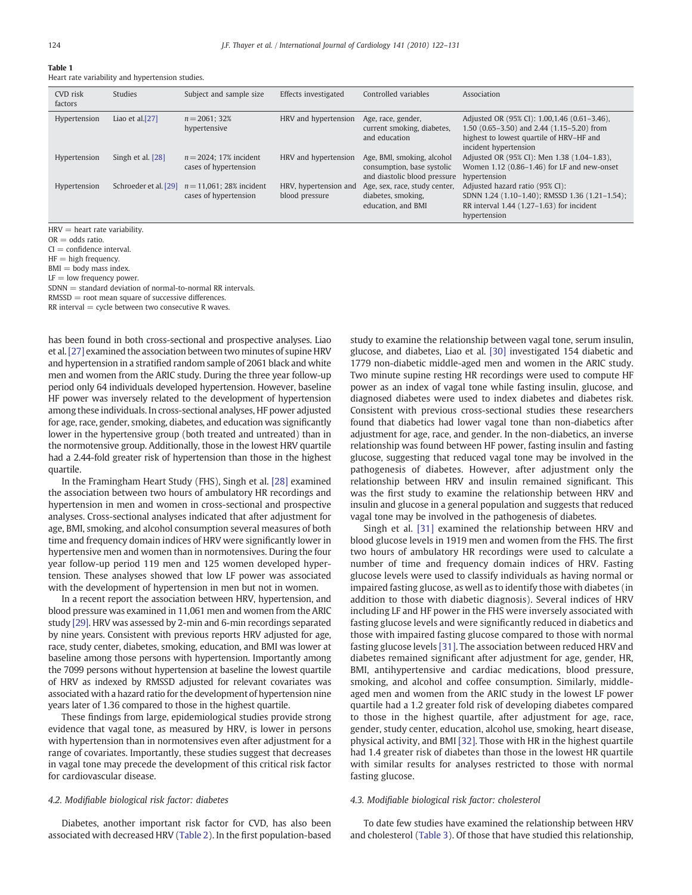Table 1

Heart rate variability and hypertension studies.

| CVD risk<br>factors | <b>Studies</b>        | Subject and sample size                              | Effects investigated                    | Controlled variables                                                                     | Association                                                                                                                                                         |
|---------------------|-----------------------|------------------------------------------------------|-----------------------------------------|------------------------------------------------------------------------------------------|---------------------------------------------------------------------------------------------------------------------------------------------------------------------|
| Hypertension        | Liao et al. $[27]$    | $n = 2061:32%$<br>hypertensive                       | HRV and hypertension                    | Age, race, gender,<br>current smoking, diabetes,<br>and education                        | Adjusted OR (95% CI): 1.00,1.46 (0.61-3.46),<br>1.50 $(0.65-3.50)$ and 2.44 $(1.15-5.20)$ from<br>highest to lowest quartile of HRV-HF and<br>incident hypertension |
| Hypertension        | Singh et al. [28]     | $n = 2024$ ; 17% incident<br>cases of hypertension   | HRV and hypertension                    | Age, BMI, smoking, alcohol<br>consumption, base systolic<br>and diastolic blood pressure | Adjusted OR (95% CI): Men 1.38 (1.04–1.83),<br>Women $1.12$ (0.86–1.46) for LF and new-onset<br>hypertension                                                        |
| Hypertension        | Schroeder et al. [29] | $n = 11,061$ ; 28% incident<br>cases of hypertension | HRV, hypertension and<br>blood pressure | Age, sex, race, study center,<br>diabetes, smoking,<br>education, and BMI                | Adjusted hazard ratio (95% CI):<br>SDNN 1.24 (1.10-1.40); RMSSD 1.36 (1.21-1.54);<br>RR interval 1.44 (1.27–1.63) for incident<br>hypertension                      |

 $HRV =$  heart rate variability.

 $OR =$  odds ratio.

 $CI = \text{confidence interval}$ 

 $HF = high frequency$ .

 $BMI =$  body mass index.

 $LF =$  low frequency power.

 $SDNN =$  standard deviation of normal-to-normal RR intervals.

 $RMSSD = root$  mean square of successive differences.

 $RR$  interval = cycle between two consecutive  $R$  waves.

has been found in both cross-sectional and prospective analyses. Liao et al.[27] examined the association between two minutes of supine HRV and hypertension in a stratified random sample of 2061 black and white men and women from the ARIC study. During the three year follow-up period only 64 individuals developed hypertension. However, baseline HF power was inversely related to the development of hypertension among these individuals. In cross-sectional analyses, HF power adjusted for age, race, gender, smoking, diabetes, and education was significantly lower in the hypertensive group (both treated and untreated) than in the normotensive group. Additionally, those in the lowest HRV quartile had a 2.44-fold greater risk of hypertension than those in the highest quartile.

In the Framingham Heart Study (FHS), Singh et al. [28] examined the association between two hours of ambulatory HR recordings and hypertension in men and women in cross-sectional and prospective analyses. Cross-sectional analyses indicated that after adjustment for age, BMI, smoking, and alcohol consumption several measures of both time and frequency domain indices of HRV were significantly lower in hypertensive men and women than in normotensives. During the four year follow-up period 119 men and 125 women developed hypertension. These analyses showed that low LF power was associated with the development of hypertension in men but not in women.

In a recent report the association between HRV, hypertension, and blood pressure was examined in 11,061 men and women from the ARIC study [29]. HRV was assessed by 2-min and 6-min recordings separated by nine years. Consistent with previous reports HRV adjusted for age, race, study center, diabetes, smoking, education, and BMI was lower at baseline among those persons with hypertension. Importantly among the 7099 persons without hypertension at baseline the lowest quartile of HRV as indexed by RMSSD adjusted for relevant covariates was associated with a hazard ratio for the development of hypertension nine years later of 1.36 compared to those in the highest quartile.

These findings from large, epidemiological studies provide strong evidence that vagal tone, as measured by HRV, is lower in persons with hypertension than in normotensives even after adjustment for a range of covariates. Importantly, these studies suggest that decreases in vagal tone may precede the development of this critical risk factor for cardiovascular disease.

#### 4.2. Modifiable biological risk factor: diabetes

Diabetes, another important risk factor for CVD, has also been associated with decreased HRV (Table 2). In the first population-based study to examine the relationship between vagal tone, serum insulin, glucose, and diabetes, Liao et al. [30] investigated 154 diabetic and 1779 non-diabetic middle-aged men and women in the ARIC study. Two minute supine resting HR recordings were used to compute HF power as an index of vagal tone while fasting insulin, glucose, and diagnosed diabetes were used to index diabetes and diabetes risk. Consistent with previous cross-sectional studies these researchers found that diabetics had lower vagal tone than non-diabetics after adjustment for age, race, and gender. In the non-diabetics, an inverse relationship was found between HF power, fasting insulin and fasting glucose, suggesting that reduced vagal tone may be involved in the pathogenesis of diabetes. However, after adjustment only the relationship between HRV and insulin remained significant. This was the first study to examine the relationship between HRV and insulin and glucose in a general population and suggests that reduced vagal tone may be involved in the pathogenesis of diabetes.

Singh et al. [31] examined the relationship between HRV and blood glucose levels in 1919 men and women from the FHS. The first two hours of ambulatory HR recordings were used to calculate a number of time and frequency domain indices of HRV. Fasting glucose levels were used to classify individuals as having normal or impaired fasting glucose, as well as to identify those with diabetes (in addition to those with diabetic diagnosis). Several indices of HRV including LF and HF power in the FHS were inversely associated with fasting glucose levels and were significantly reduced in diabetics and those with impaired fasting glucose compared to those with normal fasting glucose levels [31]. The association between reduced HRV and diabetes remained significant after adjustment for age, gender, HR, BMI, antihypertensive and cardiac medications, blood pressure, smoking, and alcohol and coffee consumption. Similarly, middleaged men and women from the ARIC study in the lowest LF power quartile had a 1.2 greater fold risk of developing diabetes compared to those in the highest quartile, after adjustment for age, race, gender, study center, education, alcohol use, smoking, heart disease, physical activity, and BMI [32]. Those with HR in the highest quartile had 1.4 greater risk of diabetes than those in the lowest HR quartile with similar results for analyses restricted to those with normal fasting glucose.

#### 4.3. Modifiable biological risk factor: cholesterol

To date few studies have examined the relationship between HRV and cholesterol (Table 3). Of those that have studied this relationship,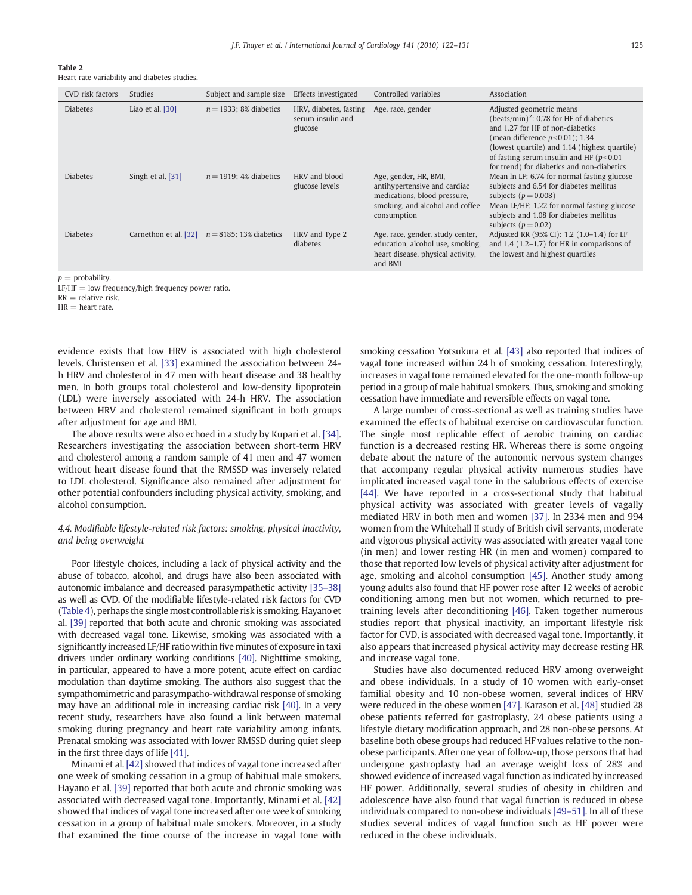Table 2 Heart rate variability and diabetes studies.

| CVD risk factors | <b>Studies</b>        | Subject and sample size    | Effects investigated                                   | Controlled variables                                                                                                                    | Association                                                                                                                                                                                                                                                                                          |
|------------------|-----------------------|----------------------------|--------------------------------------------------------|-----------------------------------------------------------------------------------------------------------------------------------------|------------------------------------------------------------------------------------------------------------------------------------------------------------------------------------------------------------------------------------------------------------------------------------------------------|
| <b>Diabetes</b>  | Liao et al. [30]      | $n = 1933$ ; 8% diabetics  | HRV, diabetes, fasting<br>serum insulin and<br>glucose | Age, race, gender                                                                                                                       | Adjusted geometric means<br>(beats/min) <sup>2</sup> : 0.78 for HF of diabetics<br>and 1.27 for HF of non-diabetics<br>(mean difference $p<0.01$ ); 1.34<br>(lowest quartile) and 1.14 (highest quartile)<br>of fasting serum insulin and HF $(p<0.01$<br>for trend) for diabetics and non-diabetics |
| <b>Diabetes</b>  | Singh et al. $[31]$   | $n = 1919$ ; 4% diabetics  | HRV and blood<br>glucose levels                        | Age, gender, HR, BMI,<br>antihypertensive and cardiac<br>medications, blood pressure,<br>smoking, and alcohol and coffee<br>consumption | Mean In LF: 6.74 for normal fasting glucose<br>subjects and 6.54 for diabetes mellitus<br>subjects ( $p = 0.008$ )<br>Mean LF/HF: 1.22 for normal fasting glucose<br>subjects and 1.08 for diabetes mellitus<br>subjects ( $p = 0.02$ )                                                              |
| <b>Diabetes</b>  | Carnethon et al. [32] | $n = 8185$ ; 13% diabetics | HRV and Type 2<br>diabetes                             | Age, race, gender, study center,<br>education, alcohol use, smoking,<br>heart disease, physical activity,<br>and BMI                    | Adjusted RR (95% CI): 1.2 (1.0–1.4) for LF<br>and $1.4$ (1.2–1.7) for HR in comparisons of<br>the lowest and highest quartiles                                                                                                                                                                       |

 $p =$  probability.

 $LF/HF = low frequency/high frequency power ratio.$ 

 $RR =$  relative risk.

 $HR = heart$  rate.

evidence exists that low HRV is associated with high cholesterol levels. Christensen et al. [33] examined the association between 24 h HRV and cholesterol in 47 men with heart disease and 38 healthy men. In both groups total cholesterol and low-density lipoprotein (LDL) were inversely associated with 24-h HRV. The association between HRV and cholesterol remained significant in both groups after adjustment for age and BMI.

The above results were also echoed in a study by Kupari et al. [34]. Researchers investigating the association between short-term HRV and cholesterol among a random sample of 41 men and 47 women without heart disease found that the RMSSD was inversely related to LDL cholesterol. Significance also remained after adjustment for other potential confounders including physical activity, smoking, and alcohol consumption.

#### 4.4. Modifiable lifestyle-related risk factors: smoking, physical inactivity, and being overweight

Poor lifestyle choices, including a lack of physical activity and the abuse of tobacco, alcohol, and drugs have also been associated with autonomic imbalance and decreased parasympathetic activity [35–38] as well as CVD. Of the modifiable lifestyle-related risk factors for CVD (Table 4), perhaps the single most controllable risk is smoking. Hayano et al. [39] reported that both acute and chronic smoking was associated with decreased vagal tone. Likewise, smoking was associated with a significantly increased LF/HF ratio within five minutes of exposure in taxi drivers under ordinary working conditions [40]. Nighttime smoking, in particular, appeared to have a more potent, acute effect on cardiac modulation than daytime smoking. The authors also suggest that the sympathomimetric and parasympatho-withdrawal response of smoking may have an additional role in increasing cardiac risk [40]. In a very recent study, researchers have also found a link between maternal smoking during pregnancy and heart rate variability among infants. Prenatal smoking was associated with lower RMSSD during quiet sleep in the first three days of life [41].

Minami et al. [42] showed that indices of vagal tone increased after one week of smoking cessation in a group of habitual male smokers. Hayano et al. [39] reported that both acute and chronic smoking was associated with decreased vagal tone. Importantly, Minami et al. [42] showed that indices of vagal tone increased after one week of smoking cessation in a group of habitual male smokers. Moreover, in a study that examined the time course of the increase in vagal tone with smoking cessation Yotsukura et al. [43] also reported that indices of vagal tone increased within 24 h of smoking cessation. Interestingly, increases in vagal tone remained elevated for the one-month follow-up period in a group of male habitual smokers. Thus, smoking and smoking cessation have immediate and reversible effects on vagal tone.

A large number of cross-sectional as well as training studies have examined the effects of habitual exercise on cardiovascular function. The single most replicable effect of aerobic training on cardiac function is a decreased resting HR. Whereas there is some ongoing debate about the nature of the autonomic nervous system changes that accompany regular physical activity numerous studies have implicated increased vagal tone in the salubrious effects of exercise [44]. We have reported in a cross-sectional study that habitual physical activity was associated with greater levels of vagally mediated HRV in both men and women [37]. In 2334 men and 994 women from the Whitehall II study of British civil servants, moderate and vigorous physical activity was associated with greater vagal tone (in men) and lower resting HR (in men and women) compared to those that reported low levels of physical activity after adjustment for age, smoking and alcohol consumption [45]. Another study among young adults also found that HF power rose after 12 weeks of aerobic conditioning among men but not women, which returned to pretraining levels after deconditioning [46]. Taken together numerous studies report that physical inactivity, an important lifestyle risk factor for CVD, is associated with decreased vagal tone. Importantly, it also appears that increased physical activity may decrease resting HR and increase vagal tone.

Studies have also documented reduced HRV among overweight and obese individuals. In a study of 10 women with early-onset familial obesity and 10 non-obese women, several indices of HRV were reduced in the obese women [47]. Karason et al. [48] studied 28 obese patients referred for gastroplasty, 24 obese patients using a lifestyle dietary modification approach, and 28 non-obese persons. At baseline both obese groups had reduced HF values relative to the nonobese participants. After one year of follow-up, those persons that had undergone gastroplasty had an average weight loss of 28% and showed evidence of increased vagal function as indicated by increased HF power. Additionally, several studies of obesity in children and adolescence have also found that vagal function is reduced in obese individuals compared to non-obese individuals [49–51]. In all of these studies several indices of vagal function such as HF power were reduced in the obese individuals.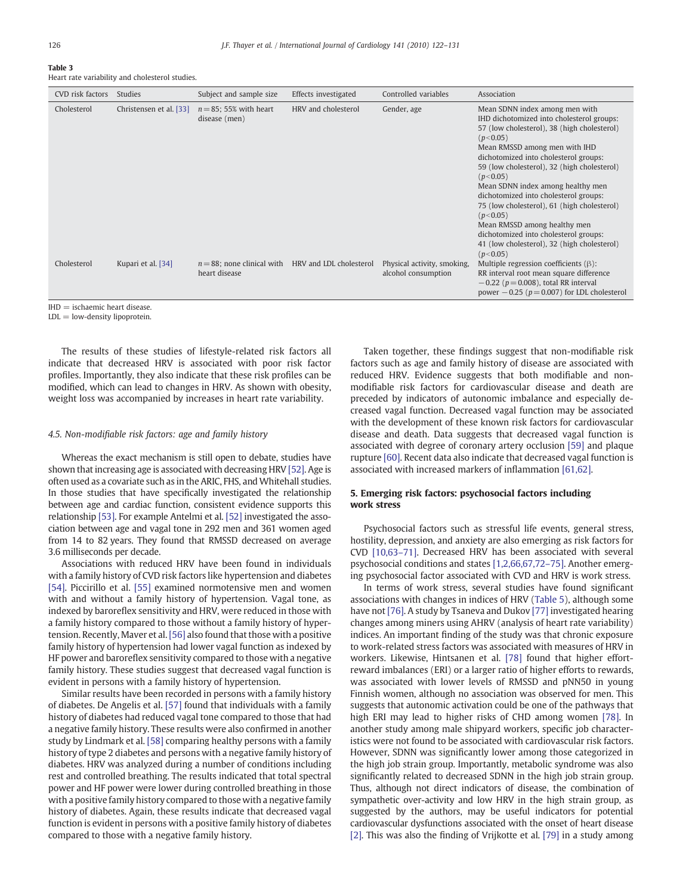#### Table 3

Heart rate variability and cholesterol studies.

| CVD risk factors                                                | <b>Studies</b>          | Subject and sample size                        | Effects investigated    | Controlled variables                               | Association                                                                                                                                                                                                                                                                                                                                                                                                                                                                                                                                              |
|-----------------------------------------------------------------|-------------------------|------------------------------------------------|-------------------------|----------------------------------------------------|----------------------------------------------------------------------------------------------------------------------------------------------------------------------------------------------------------------------------------------------------------------------------------------------------------------------------------------------------------------------------------------------------------------------------------------------------------------------------------------------------------------------------------------------------------|
| Cholesterol                                                     | Christensen et al. [33] | $n = 85$ ; 55% with heart<br>disease (men)     | HRV and cholesterol     | Gender, age                                        | Mean SDNN index among men with<br>IHD dichotomized into cholesterol groups:<br>57 (low cholesterol), 38 (high cholesterol)<br>(p<0.05)<br>Mean RMSSD among men with IHD<br>dichotomized into cholesterol groups:<br>59 (low cholesterol), 32 (high cholesterol)<br>(p<0.05)<br>Mean SDNN index among healthy men<br>dichotomized into cholesterol groups:<br>75 (low cholesterol), 61 (high cholesterol)<br>(p<0.05)<br>Mean RMSSD among healthy men<br>dichotomized into cholesterol groups:<br>41 (low cholesterol), 32 (high cholesterol)<br>(p<0.05) |
| Cholesterol<br>$-1$ $-1$ $-1$ $-1$<br>$\mathbf{v}$ $\mathbf{v}$ | Kupari et al. [34]      | $n = 88$ ; none clinical with<br>heart disease | HRV and LDL cholesterol | Physical activity, smoking,<br>alcohol consumption | Multiple regression coefficients $(\beta)$ :<br>RR interval root mean square difference<br>$-0.22$ ( $p = 0.008$ ), total RR interval<br>power $-0.25$ ( $p = 0.007$ ) for LDL cholesterol                                                                                                                                                                                                                                                                                                                                                               |

 $IHD =$  ischaemic heart disease.

 $LDL = low$ -density lipoprotein.

The results of these studies of lifestyle-related risk factors all indicate that decreased HRV is associated with poor risk factor profiles. Importantly, they also indicate that these risk profiles can be modified, which can lead to changes in HRV. As shown with obesity, weight loss was accompanied by increases in heart rate variability.

#### 4.5. Non-modifiable risk factors: age and family history

Whereas the exact mechanism is still open to debate, studies have shown that increasing age is associated with decreasing HRV [52]. Age is often used as a covariate such as in the ARIC, FHS, and Whitehall studies. In those studies that have specifically investigated the relationship between age and cardiac function, consistent evidence supports this relationship [53]. For example Antelmi et al. [52] investigated the association between age and vagal tone in 292 men and 361 women aged from 14 to 82 years. They found that RMSSD decreased on average 3.6 milliseconds per decade.

Associations with reduced HRV have been found in individuals with a family history of CVD risk factors like hypertension and diabetes [54]. Piccirillo et al. [55] examined normotensive men and women with and without a family history of hypertension. Vagal tone, as indexed by baroreflex sensitivity and HRV, were reduced in those with a family history compared to those without a family history of hypertension. Recently, Maver et al.[56] also found that those with a positive family history of hypertension had lower vagal function as indexed by HF power and baroreflex sensitivity compared to those with a negative family history. These studies suggest that decreased vagal function is evident in persons with a family history of hypertension.

Similar results have been recorded in persons with a family history of diabetes. De Angelis et al. [57] found that individuals with a family history of diabetes had reduced vagal tone compared to those that had a negative family history. These results were also confirmed in another study by Lindmark et al. [58] comparing healthy persons with a family history of type 2 diabetes and persons with a negative family history of diabetes. HRV was analyzed during a number of conditions including rest and controlled breathing. The results indicated that total spectral power and HF power were lower during controlled breathing in those with a positive family history compared to those with a negative family history of diabetes. Again, these results indicate that decreased vagal function is evident in persons with a positive family history of diabetes compared to those with a negative family history.

Taken together, these findings suggest that non-modifiable risk factors such as age and family history of disease are associated with reduced HRV. Evidence suggests that both modifiable and nonmodifiable risk factors for cardiovascular disease and death are preceded by indicators of autonomic imbalance and especially decreased vagal function. Decreased vagal function may be associated with the development of these known risk factors for cardiovascular disease and death. Data suggests that decreased vagal function is associated with degree of coronary artery occlusion [59] and plaque rupture [60]. Recent data also indicate that decreased vagal function is associated with increased markers of inflammation [61,62].

#### 5. Emerging risk factors: psychosocial factors including work stress

Psychosocial factors such as stressful life events, general stress, hostility, depression, and anxiety are also emerging as risk factors for CVD [10,63–71]. Decreased HRV has been associated with several psychosocial conditions and states [1,2,66,67,72–75]. Another emerging psychosocial factor associated with CVD and HRV is work stress.

In terms of work stress, several studies have found significant associations with changes in indices of HRV (Table 5), although some have not [76]. A study by Tsaneva and Dukov [77] investigated hearing changes among miners using AHRV (analysis of heart rate variability) indices. An important finding of the study was that chronic exposure to work-related stress factors was associated with measures of HRV in workers. Likewise, Hintsanen et al. [78] found that higher effortreward imbalances (ERI) or a larger ratio of higher efforts to rewards, was associated with lower levels of RMSSD and pNN50 in young Finnish women, although no association was observed for men. This suggests that autonomic activation could be one of the pathways that high ERI may lead to higher risks of CHD among women [78]. In another study among male shipyard workers, specific job characteristics were not found to be associated with cardiovascular risk factors. However, SDNN was significantly lower among those categorized in the high job strain group. Importantly, metabolic syndrome was also significantly related to decreased SDNN in the high job strain group. Thus, although not direct indicators of disease, the combination of sympathetic over-activity and low HRV in the high strain group, as suggested by the authors, may be useful indicators for potential cardiovascular dysfunctions associated with the onset of heart disease [2]. This was also the finding of Vrijkotte et al. [79] in a study among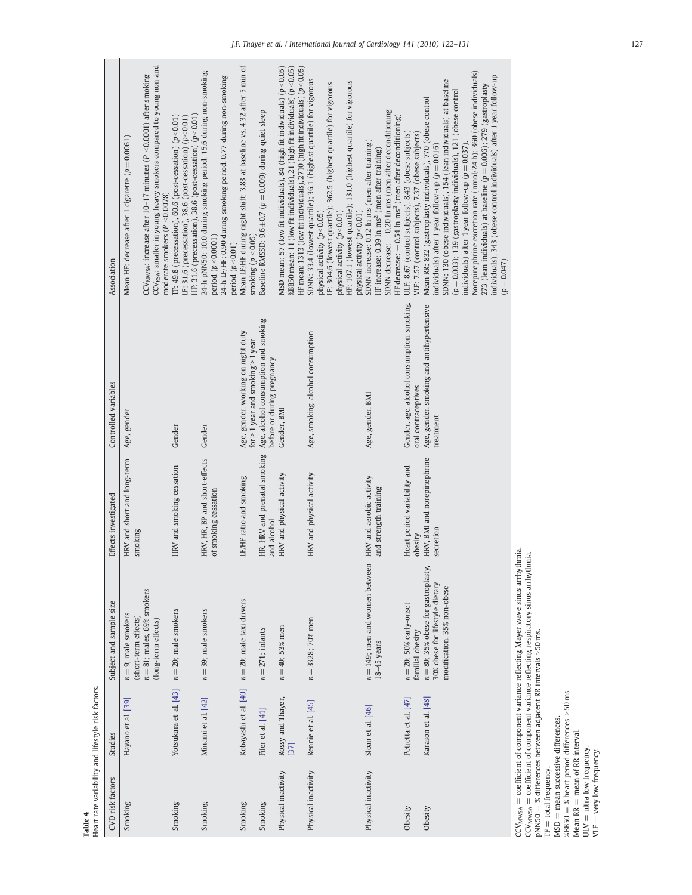| Association                                                      | Mean HF: decrease after 1 cigarette $(p=0.0061)$ | CCV <sub>RSA</sub> ; smaller in young heavy smokers compared to young non and<br>CCV <sub>MVSA</sub> ; increase after 10-17 minutes ( $P < 0.0001$ ) after smoking<br>moderate smokers $(P < 0.0078)$ | HF: 31.6 (precessation), 38.6 (post-cessation) $(p < 0.01)$<br>IF: 49.8 (precessation), 60.6 (post-cessation) $(p<0.01)$<br>LF: 31.6 (precessation), 38.6 (post-cessation) $(p<0.01)$ | 24-h pNN50: 10.0 during smoking period, 15.6 during non-smoking<br>24-h LF/HF: 0.90 during smoking period, 0.77 during non-smoking<br>period $(p<0.0001)$<br>period $(p<0.01)$ | Mean LF/HF during night shift: 3.83 at baseline vs. 4.32 after 5 min of<br>smoking $(p < 0.05)$ | Baseline RMSSD: $9.6 \pm 0.7$ ( $p = 0.009$ ) during quiet sleep   | MSD mean: 57 (low fit individuals), 84 (high fit individuals) ( $p$ <0.05)<br>%BB50 mean: 11 (low fit individuals), 21 (high fit individuals) ( $p$ <0.05)<br>HF mean: 1313 (low fit individuals), 2710 (high fit individuals) ( $p$ <0.05) | SDNN: 33.4 (lowest quartile); 36.1 (highest quartile) for vigorous<br>HF: 107.1 (lowest quartile); 131.0 (highest quartile) for vigorous<br>LF: 304.6 (lowest quartile); 362.5 (highest quartile) for vigorous<br>physical activity $(p < 0.05)$<br>physical activity $(p<0.01)$<br>physical activity $(p<0.01)$ | SDNN decrease: - 0.20 ln ms (men after deconditioning<br>HF decrease: -0.54 ln ms <sup>2</sup> (men after deconditioning)<br>SDNN increase: 0.12 ln ms (men after training)<br>HF increase: 0.39 ln ms <sup>2</sup> (men after training) | Norepinephrine excretion rate (nmol/24 h): 360 (obese individuals),<br>SDNN: 130 (obese individuals), 154 (lean individuals) at baseline<br>273 (lean individuals) at baseline ( $p = 0.006$ ); 279 (gastroplasty<br>$(p = 0.003)$ ; 139 (gastroplasty individuals), 121 (obese control<br>Mean RR: 832 (gastroplasty individuals), 770 (obese control<br>ULF: 8.67 (control subjects), 8.43 (obese subjects)<br>VLF: 7.57 (control subjects), 7.37 (obese subjects)<br>individuals) after 1 year follow-up ( $p = 0.037$ ).<br>individuals) after 1 year follow-up $(p = 0.016)$ |
|------------------------------------------------------------------|--------------------------------------------------|-------------------------------------------------------------------------------------------------------------------------------------------------------------------------------------------------------|---------------------------------------------------------------------------------------------------------------------------------------------------------------------------------------|--------------------------------------------------------------------------------------------------------------------------------------------------------------------------------|-------------------------------------------------------------------------------------------------|--------------------------------------------------------------------|---------------------------------------------------------------------------------------------------------------------------------------------------------------------------------------------------------------------------------------------|------------------------------------------------------------------------------------------------------------------------------------------------------------------------------------------------------------------------------------------------------------------------------------------------------------------|------------------------------------------------------------------------------------------------------------------------------------------------------------------------------------------------------------------------------------------|-----------------------------------------------------------------------------------------------------------------------------------------------------------------------------------------------------------------------------------------------------------------------------------------------------------------------------------------------------------------------------------------------------------------------------------------------------------------------------------------------------------------------------------------------------------------------------------|
| Controlled variables                                             | Age, gender                                      |                                                                                                                                                                                                       | Gender                                                                                                                                                                                | Gender                                                                                                                                                                         | Age, gender, working on night duty<br>for $\geq$ 1 year and smoking $\geq$ 1 year               | Age, alcohol consumption and smoking<br>before or during pregnancy | Gender, BMI                                                                                                                                                                                                                                 | Age, smoking, alcohol consumption                                                                                                                                                                                                                                                                                | Age, gender, BMI                                                                                                                                                                                                                         | Gender, age, alcohol consumption, smoking,<br>Age, gender, smoking and antihypertensive<br>oral contraceptives<br>treatment                                                                                                                                                                                                                                                                                                                                                                                                                                                       |
| Effects investigated                                             | HRV and short and long-term                      | smoking                                                                                                                                                                                               | HRV and smoking cessation                                                                                                                                                             | HRV, HR, BP and short-effects<br>of smoking cessation                                                                                                                          | LF/HF ratio and smoking                                                                         | HR, HRV and prenatal smoking<br>and alcohol                        | HRV and physical activity                                                                                                                                                                                                                   | HRV and physical activity                                                                                                                                                                                                                                                                                        | HRV and aerobic activity<br>and strength training                                                                                                                                                                                        | HRV, BMI and norepinephrine<br>Heart period variability and<br>secretion<br>obesity                                                                                                                                                                                                                                                                                                                                                                                                                                                                                               |
| Subject and sample size                                          | $n=9$ ; male smokers                             | $n = 81$ ; males, 69% smokers<br>(short-term effects)<br>(long-term effects)                                                                                                                          | $n = 20$ ; male smokers                                                                                                                                                               | $n = 39$ ; male smokers                                                                                                                                                        | $n = 20$ ; male taxi drivers                                                                    | $n = 271$ ; infants                                                | $n = 40$ ; 53% men                                                                                                                                                                                                                          | $n = 3328$ ; 70% men                                                                                                                                                                                                                                                                                             | $n = 149$ ; men and women between<br>$18-45$ years                                                                                                                                                                                       | $n = 80$ ; 35% obese for gastroplasty,<br>30% obese for lifestyle dietary<br>modification, 35% non-obese<br>$n = 20$ ; 50% early-onset<br>familial obesity                                                                                                                                                                                                                                                                                                                                                                                                                        |
| Studies                                                          | Hayano et al. [39]                               |                                                                                                                                                                                                       | Yotsukura et al. [43]                                                                                                                                                                 | Minami et al. [42]                                                                                                                                                             | Kobayashi et al. [40]                                                                           | Fifer et al. [41]                                                  | Rossy and Thayer,<br>$[37]$                                                                                                                                                                                                                 | Rennie et al. [45]                                                                                                                                                                                                                                                                                               | Sloan et al. [46]                                                                                                                                                                                                                        | Petretta et al. [47]<br>Karason et al. [48]                                                                                                                                                                                                                                                                                                                                                                                                                                                                                                                                       |
| Lican rane varianii ya ilicanti ruski identi<br>CVD risk factors | Smoking                                          |                                                                                                                                                                                                       | Smoking                                                                                                                                                                               | Smoking                                                                                                                                                                        | Smoking                                                                                         | Smoking                                                            | Physical inactivity                                                                                                                                                                                                                         | Physical inactivity                                                                                                                                                                                                                                                                                              | Physical inactivity                                                                                                                                                                                                                      | Obesity<br>Obesity                                                                                                                                                                                                                                                                                                                                                                                                                                                                                                                                                                |

Heart rate variability and lifestyle risk factors. and lifestyle risk factors  $\Delta$  . This is a set of  $\Delta$ Table 4<br>Heart ratu CCV<sub>MVeSA</sub> = coefficient of component variance reflecting Mayer wave sinus arrhythmia.<br>CCV<sub>MVeSA</sub> = coefficient of component variance reflecting respiratory sinus arrhythmia.<br>pNN50 = % differences between adjacent RR inte  $\mathsf{CCV}_{\mathsf{MWSA}}=\mathsf{coefficient}$  of component variance reflecting Mayer wave sinus arrhythmia.  $CCV_{NVNSA} = \text{coefficient of component variance reflecting respiratory sinusaritythmi}$  $p$ NN50  $=$  % differences between adjacent RR intervals  $>$  50 ms.

 $TF = total frequency$ .

MSD = mean successive differences.

%BB50  $=$  % heart period differences  $>$ 50 ms. Mean RR = mean of RR interval.  $ULV =$ ultra low frequency.

 $VLF = very low frequency$ .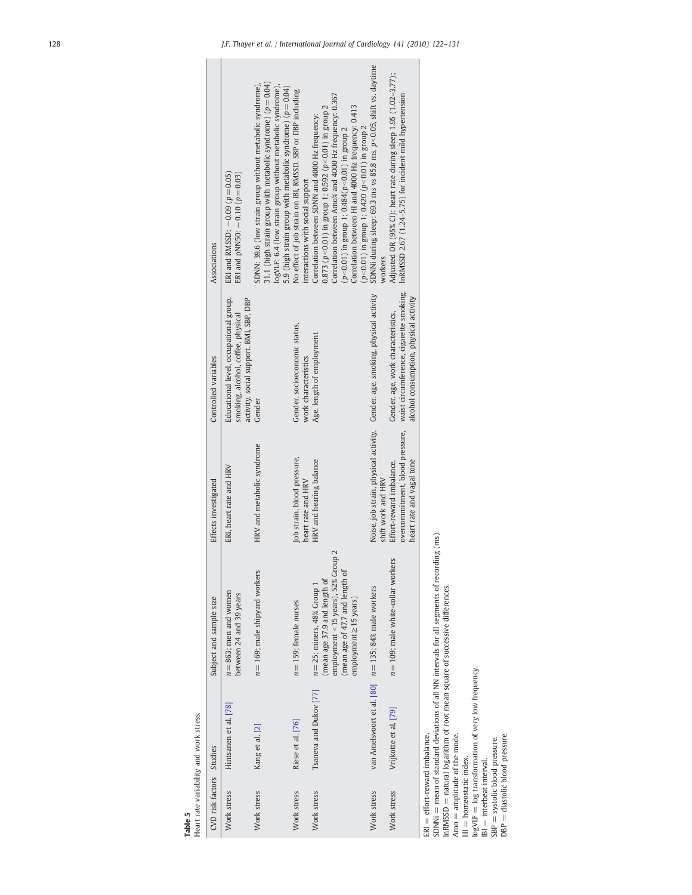Table 5<br>Heart rate variability and work stress.

|                                  | Heart rate variability and work stress. |                                                                                                                                                                 |                                                                                          |                                                                                                                         |                                                                                                                                                                                                                                                                                        |
|----------------------------------|-----------------------------------------|-----------------------------------------------------------------------------------------------------------------------------------------------------------------|------------------------------------------------------------------------------------------|-------------------------------------------------------------------------------------------------------------------------|----------------------------------------------------------------------------------------------------------------------------------------------------------------------------------------------------------------------------------------------------------------------------------------|
| CVD risk factors Studies         |                                         | Subject and sample size                                                                                                                                         | Effects investigated                                                                     | Controlled variables                                                                                                    | Associations                                                                                                                                                                                                                                                                           |
| Work stress                      | Hintsanen et al. [78]                   | $n = 863$ ; men and women<br>between 24 and 39 years                                                                                                            | ERI, heart rate and HRV                                                                  | Educational level, occupational group,<br>activity, social support, BMI, SBP, DBP<br>smoking, alcohol, coffee, physical | ERI and pNN50: $-0.10$ ( $p = 0.03$ )<br>ERI and RMSSD: $-0.09$ ( $p = 0.05$ )                                                                                                                                                                                                         |
| Work stress                      | Kang et al. [2]                         | $n = 169$ ; male shipyard workers                                                                                                                               | HRV and metabolic syndrome                                                               | Gender                                                                                                                  | 31.1 (high strain group with metabolic syndrome) ( $p = 0.04$ )<br>SDNN: 39.6 (low strain group without metabolic syndrome),<br>logVLF: 6.4 (low strain group without metabolic syndrome),<br>5.9 (high strain group with metabolic syndrome) ( $p = 0.04$ )                           |
| Work stress                      | Riese et al. [76]                       | $n = 159$ ; female nurses                                                                                                                                       | Job strain, blood pressure,<br>heart rate and HRV                                        | Gender, socioeconomic status,<br>work characteristics                                                                   | No effect of job strain on IBI, RMSSD, SBP or DBP including<br>interactions with social support                                                                                                                                                                                        |
| Work stress                      | Tsaneva and Dukov [77]                  | employment <15 years), 52% Group 2<br>(mean age of 47.7 and length of<br>(mean age 37.9 and length of<br>$n = 25$ ; miners, 48% Group 1<br>employment≥15 years) | HRV and hearing balance                                                                  | Age, length of employment                                                                                               | Correlation between Amo% and 4000 Hz frequency: 0.367<br>Correlation between HI and 4000 Hz frequency: 0.413<br>$0.873$ ( $p<0.01$ ) in group 1; 0.592 ( $p<$ 0.01) in group 2<br>Correlation between SDNN and 4000 Hz frequency:<br>$(p<0.01)$ in group 1; $0.484(p<0.01)$ in group 2 |
| Work stress                      |                                         | van Amelsvoort et al. [80] $n = 135$ ; 84% male workers                                                                                                         | shift work and HRV                                                                       | Noise, job strain, physical activity, Gender, age, smoking, physical activity                                           | SDNNi during sleep: 69.3 ms vs 85.8 ms, $p < 0.05$ , shift vs. daytime<br>$(p<0.01)$ in group 1; 0.420 $(p<0.01)$ in group 2<br>workers                                                                                                                                                |
| Work stress                      | Vrijkotte et al. [79]                   | $n = 109$ ; male white-collar workers                                                                                                                           | overcommitment, blood pressure,<br>heart rate and vagal tone<br>Effort-reward imbalance, | waist circumference, cigarette smoking,<br>alcohol consumption, physical activity<br>Gender, age, work characteristics, | Adjusted OR (95% CI): heart rate during sleep 1.95 (1.02-3.77);<br>InRMSSD 2.67 (1.24-5.75) for incident mild hypertension                                                                                                                                                             |
| $ERI = effort-reward$ imbalance. |                                         | SDNNi $=$ mean of standard deviations of all NN intervals for all segments of recording (ms).                                                                   |                                                                                          |                                                                                                                         |                                                                                                                                                                                                                                                                                        |

n and the mean of the mean of the mean of the mean of the mean of the mean square of successive differences.<br>Anno = amplitude of the mode.<br>HI = homeostatic index.<br>IOgVLF = log transformation of very low frequency.<br>IBI = in

lnRMSSD = natural logarithm of root mean square of successive differences.

Amo = amplitude of the mode.

 $H =$  homeostatic index.

 $log VLF = log$  transformation of very low frequency.

IBI = interbeat interval.

SBP = systolic blood pressure.

DBP = diastolic blood pressure.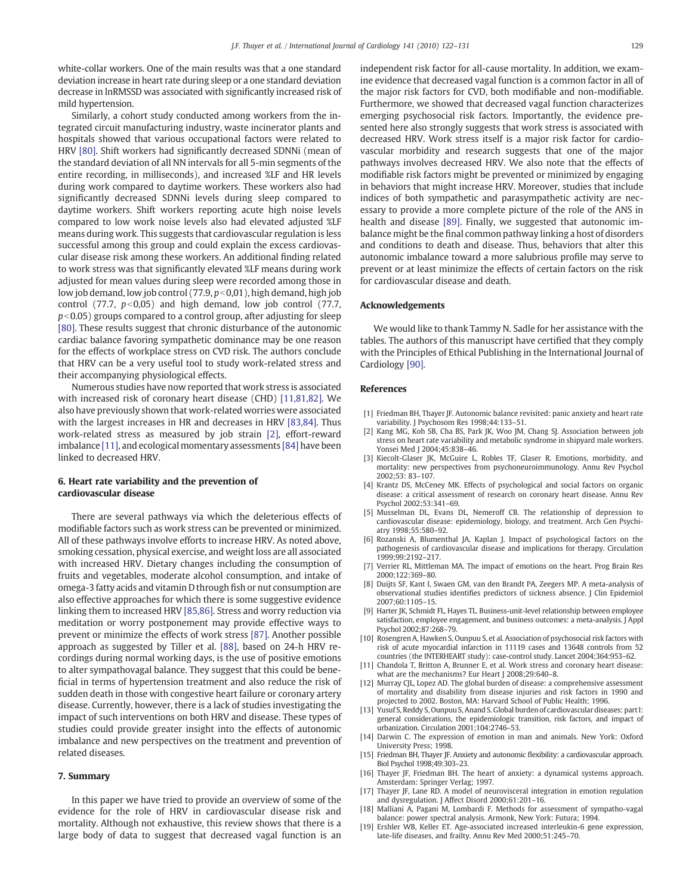white-collar workers. One of the main results was that a one standard deviation increase in heart rate during sleep or a one standard deviation decrease in lnRMSSD was associated with significantly increased risk of mild hypertension.

Similarly, a cohort study conducted among workers from the integrated circuit manufacturing industry, waste incinerator plants and hospitals showed that various occupational factors were related to HRV [80]. Shift workers had significantly decreased SDNNi (mean of the standard deviation of all NN intervals for all 5-min segments of the entire recording, in milliseconds), and increased %LF and HR levels during work compared to daytime workers. These workers also had significantly decreased SDNNi levels during sleep compared to daytime workers. Shift workers reporting acute high noise levels compared to low work noise levels also had elevated adjusted %LF means during work. This suggests that cardiovascular regulation is less successful among this group and could explain the excess cardiovascular disease risk among these workers. An additional finding related to work stress was that significantly elevated %LF means during work adjusted for mean values during sleep were recorded among those in low job demand, low job control (77.9,  $p<$  0,01), high demand, high job control (77.7,  $p<0,05$ ) and high demand, low job control (77.7,  $p<0.05$ ) groups compared to a control group, after adjusting for sleep [80]. These results suggest that chronic disturbance of the autonomic cardiac balance favoring sympathetic dominance may be one reason for the effects of workplace stress on CVD risk. The authors conclude that HRV can be a very useful tool to study work-related stress and their accompanying physiological effects.

Numerous studies have now reported that work stress is associated with increased risk of coronary heart disease (CHD) [11,81,82]. We also have previously shown that work-related worries were associated with the largest increases in HR and decreases in HRV [83,84]. Thus work-related stress as measured by job strain [2], effort-reward imbalance [11], and ecological momentary assessments [84] have been linked to decreased HRV.

#### 6. Heart rate variability and the prevention of cardiovascular disease

There are several pathways via which the deleterious effects of modifiable factors such as work stress can be prevented or minimized. All of these pathways involve efforts to increase HRV. As noted above, smoking cessation, physical exercise, and weight loss are all associated with increased HRV. Dietary changes including the consumption of fruits and vegetables, moderate alcohol consumption, and intake of omega-3 fatty acids and vitamin D through fish or nut consumption are also effective approaches for which there is some suggestive evidence linking them to increased HRV [85,86]. Stress and worry reduction via meditation or worry postponement may provide effective ways to prevent or minimize the effects of work stress [87]. Another possible approach as suggested by Tiller et al. [88], based on 24-h HRV recordings during normal working days, is the use of positive emotions to alter sympathovagal balance. They suggest that this could be beneficial in terms of hypertension treatment and also reduce the risk of sudden death in those with congestive heart failure or coronary artery disease. Currently, however, there is a lack of studies investigating the impact of such interventions on both HRV and disease. These types of studies could provide greater insight into the effects of autonomic imbalance and new perspectives on the treatment and prevention of related diseases.

#### 7. Summary

In this paper we have tried to provide an overview of some of the evidence for the role of HRV in cardiovascular disease risk and mortality. Although not exhaustive, this review shows that there is a large body of data to suggest that decreased vagal function is an

independent risk factor for all-cause mortality. In addition, we examine evidence that decreased vagal function is a common factor in all of the major risk factors for CVD, both modifiable and non-modifiable. Furthermore, we showed that decreased vagal function characterizes emerging psychosocial risk factors. Importantly, the evidence presented here also strongly suggests that work stress is associated with decreased HRV. Work stress itself is a major risk factor for cardiovascular morbidity and research suggests that one of the major pathways involves decreased HRV. We also note that the effects of modifiable risk factors might be prevented or minimized by engaging in behaviors that might increase HRV. Moreover, studies that include indices of both sympathetic and parasympathetic activity are necessary to provide a more complete picture of the role of the ANS in health and disease [89]. Finally, we suggested that autonomic imbalance might be the final common pathway linking a host of disorders and conditions to death and disease. Thus, behaviors that alter this autonomic imbalance toward a more salubrious profile may serve to prevent or at least minimize the effects of certain factors on the risk for cardiovascular disease and death.

#### Acknowledgements

We would like to thank Tammy N. Sadle for her assistance with the tables. The authors of this manuscript have certified that they comply with the Principles of Ethical Publishing in the International Journal of Cardiology [90].

#### References

- [1] Friedman BH, Thayer JF. Autonomic balance revisited: panic anxiety and heart rate variability. J Psychosom Res 1998;44:133–51.
- [2] Kang MG, Koh SB, Cha BS, Park JK, Woo JM, Chang SJ. Association between job stress on heart rate variability and metabolic syndrome in shipyard male workers. Yonsei Med | 2004;45:838-46.
- [3] Kiecolt-Glaser JK, McGuire L, Robles TF, Glaser R. Emotions, morbidity, and mortality: new perspectives from psychoneuroimmunology. Annu Rev Psychol 2002;53: 83–107.
- [4] Krantz DS, McCeney MK. Effects of psychological and social factors on organic disease: a critical assessment of research on coronary heart disease. Annu Rev Psychol 2002;53:341–69.
- Musselman DL, Evans DL, Nemeroff CB. The relationship of depression to cardiovascular disease: epidemiology, biology, and treatment. Arch Gen Psychiatry 1998;55:580–92.
- [6] Rozanski A, Blumenthal JA, Kaplan J. Impact of psychological factors on the pathogenesis of cardiovascular disease and implications for therapy. Circulation 1999;99:2192–217.
- Verrier RL, Mittleman MA. The impact of emotions on the heart. Prog Brain Res 2000;122:369–80.
- [8] Duijts SF, Kant I, Swaen GM, van den Brandt PA, Zeegers MP. A meta-analysis of observational studies identifies predictors of sickness absence. J Clin Epidemiol 2007;60:1105–15.
- [9] Harter JK, Schmidt FL, Hayes TL. Business-unit-level relationship between employee satisfaction, employee engagement, and business outcomes: a meta-analysis. J Appl Psychol 2002;87:268–79.
- [10] Rosengren A, Hawken S, Ounpuu S, et al. Association of psychosocial risk factors with risk of acute myocardial infarction in 11119 cases and 13648 controls from 52 countries (the INTERHEART study): case-control study. Lancet 2004;364:953–62.
- [11] Chandola T, Britton A, Brunner E, et al. Work stress and coronary heart disease: what are the mechanisms? Eur Heart J 2008;29:640–8.
- [12] Murray CJL, Lopez AD. The global burden of disease: a comprehensive assessment of mortality and disability from disease injuries and risk factors in 1990 and projected to 2002. Boston, MA: Harvard School of Public Health; 1996.
- [13] Yusuf S, Reddy S, Ounpuu S, Anand S. Global burden of cardiovascular diseases: part I: general considerations, the epidemiologic transition, risk factors, and impact of urbanization. Circulation 2001;104:2746–53.
- [14] Darwin C. The expression of emotion in man and animals. New York: Oxford University Press; 1998.
- [15] Friedman BH, Thayer JF. Anxiety and autonomic flexibility: a cardiovascular approach. Biol Psychol 1998;49:303–23.
- [16] Thayer JF, Friedman BH. The heart of anxiety: a dynamical systems approach. Amsterdam: Springer Verlag; 1997.
- [17] Thayer JF, Lane RD. A model of neurovisceral integration in emotion regulation and dysregulation. J Affect Disord 2000;61:201–16.
- [18] Malliani A, Pagani M, Lombardi F. Methods for assessment of sympatho-vagal balance: power spectral analysis. Armonk, New York: Futura; 1994.
- [19] Ershler WB, Keller ET. Age-associated increased interleukin-6 gene expression, late-life diseases, and frailty. Annu Rev Med 2000;51:245–70.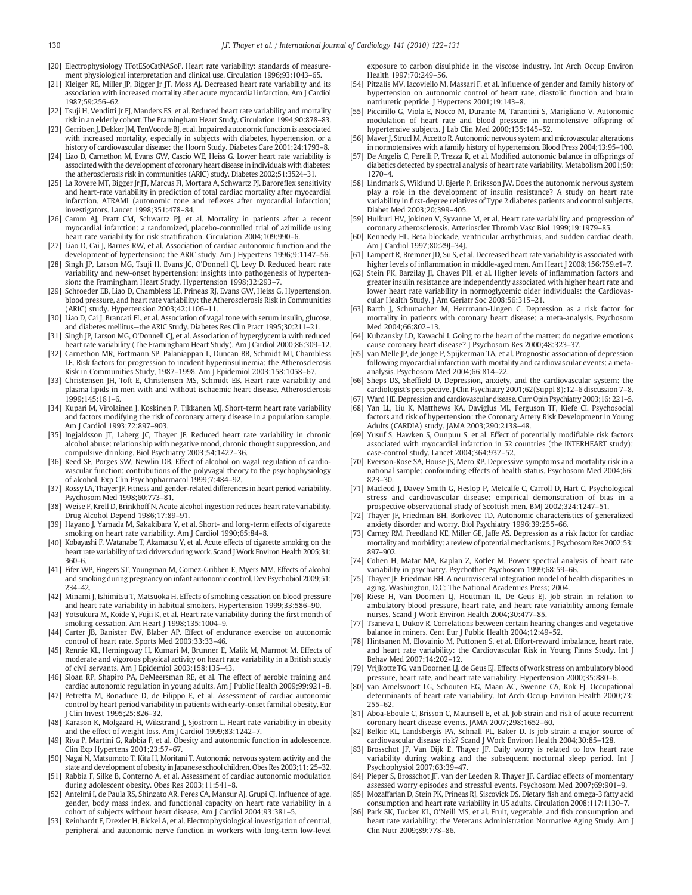- [20] Electrophysiology TFotESoCatNASoP. Heart rate variability: standards of measurement physiological interpretation and clinical use. Circulation 1996;93:1043–65.
- [21] Kleiger RE, Miller JP, Bigger Jr JT, Moss AJ. Decreased heart rate variability and its association with increased mortality after acute myocardial infarction. Am J Cardiol 1987;59:256–62.
- [22] Tsuji H, Venditti Jr FL Manders ES, et al. Reduced heart rate variability and mortality risk in an elderly cohort. The Framingham Heart Study. Circulation 1994;90:878–83.
- [23] Gerritsen J, Dekker JM, TenVoorde BJ, et al. Impaired autonomic function is associated with increased mortality, especially in subjects with diabetes, hypertension, or a history of cardiovascular disease: the Hoorn Study. Diabetes Care 2001;24:1793–8.
- [24] Liao D, Carnethon M, Evans GW, Cascio WE, Heiss G. Lower heart rate variability is associated with the development of coronary heart disease in individuals with diabetes: the atherosclerosis risk in communities (ARIC) study. Diabetes 2002;51:3524–31.
- [25] La Rovere MT, Bigger Jr JT, Marcus FI, Mortara A, Schwartz PJ. Baroreflex sensitivity and heart-rate variability in prediction of total cardiac mortality after myocardial infarction. ATRAMI (autonomic tone and reflexes after myocardial infarction) investigators. Lancet 1998;351:478–84.
- [26] Camm AJ, Pratt CM, Schwartz PJ, et al. Mortality in patients after a recent myocardial infarction: a randomized, placebo-controlled trial of azimilide using heart rate variability for risk stratification. Circulation 2004;109:990–6.
- [27] Liao D, Cai J, Barnes RW, et al. Association of cardiac autonomic function and the development of hypertension: the ARIC study. Am J Hypertens 1996;9:1147–56.
- [28] Singh JP, Larson MG, Tsuji H, Evans JC, O'Donnell CJ, Levy D. Reduced heart rate variability and new-onset hypertension: insights into pathogenesis of hypertension: the Framingham Heart Study. Hypertension 1998;32:293–7.
- [29] Schroeder EB, Liao D, Chambless LE, Prineas RJ, Evans GW, Heiss G. Hypertension, blood pressure, and heart rate variability: the Atherosclerosis Risk in Communities (ARIC) study. Hypertension 2003;42:1106–11.
- [30] Liao D, Cai J, Brancati FL, et al. Association of vagal tone with serum insulin, glucose, and diabetes mellitus—the ARIC Study. Diabetes Res Clin Pract 1995;30:211–21.
- [31] Singh JP, Larson MG, O'Donnell CJ, et al. Association of hyperglycemia with reduced heart rate variability (The Framingham Heart Study). Am J Cardiol 2000;86:309–12.
- [32] Carnethon MR, Fortmann SP, Palaniappan L, Duncan BB, Schmidt MI, Chambless LE. Risk factors for progression to incident hyperinsulinemia: the Atherosclerosis Risk in Communities Study, 1987–1998. Am J Epidemiol 2003;158:1058–67.
- [33] Christensen JH, Toft E, Christensen MS, Schmidt EB. Heart rate variability and plasma lipids in men with and without ischaemic heart disease. Atherosclerosis 1999;145:181–6.
- [34] Kupari M, Virolainen J, Koskinen P, Tikkanen MJ. Short-term heart rate variability and factors modifying the risk of coronary artery disease in a population sample. Am J Cardiol 1993;72:897–903.
- [35] Ingjaldsson JT, Laberg JC, Thayer JF. Reduced heart rate variability in chronic alcohol abuse: relationship with negative mood, chronic thought suppression, and compulsive drinking. Biol Psychiatry 2003;54:1427–36.
- [36] Reed SF, Porges SW, Newlin DB. Effect of alcohol on vagal regulation of cardiovascular function: contributions of the polyvagal theory to the psychophysiology of alcohol. Exp Clin Psychopharmacol 1999;7:484–92.
- [37] Rossy LA, Thayer JF. Fitness and gender-related differences in heart period variability. Psychosom Med 1998;60:773–81.
- [38] Weise F, Krell D, Brinkhoff N. Acute alcohol ingestion reduces heart rate variability. Drug Alcohol Depend 1986;17:89–91.
- [39] Hayano J, Yamada M, Sakakibara Y, et al. Short- and long-term effects of cigarette smoking on heart rate variability. Am J Cardiol 1990;65:84–8.
- [40] Kobayashi F, Watanabe T, Akamatsu Y, et al. Acute effects of cigarette smoking on the heart rate variability of taxi drivers during work. Scand J Work Environ Health 2005;31: 360–6.
- [41] Fifer WP, Fingers ST, Youngman M, Gomez-Gribben E, Myers MM. Effects of alcohol and smoking during pregnancy on infant autonomic control. Dev Psychobiol 2009;51: 234–42.
- [42] Minami J, Ishimitsu T, Matsuoka H. Effects of smoking cessation on blood pressure and heart rate variability in habitual smokers. Hypertension 1999;33:586–90.
- [43] Yotsukura M, Koide Y, Fujii K, et al. Heart rate variability during the first month of smoking cessation. Am Heart J 1998;135:1004-9.
- [44] Carter JB, Banister EW, Blaber AP. Effect of endurance exercise on autonomic control of heart rate. Sports Med 2003;33:33–46.
- [45] Rennie KL, Hemingway H, Kumari M, Brunner E, Malik M, Marmot M. Effects of moderate and vigorous physical activity on heart rate variability in a British study of civil servants. Am J Epidemiol 2003;158:135–43.
- [46] Sloan RP, Shapiro PA, DeMeersman RE, et al. The effect of aerobic training and cardiac autonomic regulation in young adults. Am J Public Health 2009;99:921–8.
- [47] Petretta M, Bonaduce D, de Filippo E, et al. Assessment of cardiac autonomic control by heart period variability in patients with early-onset familial obesity. Eur J Clin Invest 1995;25:826–32.
- [48] Karason K, Molgaard H, Wikstrand J, Sjostrom L. Heart rate variability in obesity and the effect of weight loss. Am J Cardiol 1999;83:1242–7.
- [49] Riva P, Martini G, Rabbia F, et al. Obesity and autonomic function in adolescence. Clin Exp Hypertens 2001;23:57–67.
- [50] Nagai N, Matsumoto T, Kita H, Moritani T. Autonomic nervous system activity and the state and development of obesity in Japanese school children. Obes Res 2003;11: 25–32.
- [51] Rabbia F, Silke B, Conterno A, et al. Assessment of cardiac autonomic modulation during adolescent obesity. Obes Res 2003;11:541–8.
- [52] Antelmi I, de Paula RS, Shinzato AR, Peres CA, Mansur AJ, Grupi CJ. Influence of age, gender, body mass index, and functional capacity on heart rate variability in a cohort of subjects without heart disease. Am J Cardiol 2004;93:381–5.
- [53] Reinhardt F, Drexler H, Bickel A, et al. Electrophysiological investigation of central, peripheral and autonomic nerve function in workers with long-term low-level

exposure to carbon disulphide in the viscose industry. Int Arch Occup Environ Health 1997;70:249–56.

- [54] Pitzalis MV, Iacoviello M, Massari F, et al. Influence of gender and family history of hypertension on autonomic control of heart rate, diastolic function and brain natriuretic peptide. J Hypertens 2001;19:143–8.
- [55] Piccirillo G, Viola E, Nocco M, Durante M, Tarantini S, Marigliano V. Autonomic modulation of heart rate and blood pressure in normotensive offspring of hypertensive subjects. J Lab Clin Med 2000;135:145-52.
- [56] Maver J, Strucl M, Accetto R. Autonomic nervous system and microvascular alterations in normotensives with a family history of hypertension. Blood Press 2004;13:95–100.
- [57] De Angelis C, Perelli P, Trezza R, et al. Modified autonomic balance in offsprings of diabetics detected by spectral analysis of heart rate variability. Metabolism 2001;50: 1270–4.
- [58] Lindmark S, Wiklund U, Bjerle P, Eriksson JW. Does the autonomic nervous system play a role in the development of insulin resistance? A study on heart rate variability in first-degree relatives of Type 2 diabetes patients and control subjects. Diabet Med 2003;20:399–405.
- [59] Huikuri HV, Jokinen V, Syvanne M, et al. Heart rate variability and progression of coronary atherosclerosis. Arterioscler Thromb Vasc Biol 1999;19:1979–85.
- [60] Kennedy HL. Beta blockade, ventricular arrhythmias, and sudden cardiac death. Am J Cardiol 1997;80:29J–34J.
- [61] Lampert R, Bremner JD, Su S, et al. Decreased heart rate variability is associated with higher levels of inflammation in middle-aged men. Am Heart J 2008;156:759.e1–7.
- [62] Stein PK, Barzilay JI, Chaves PH, et al. Higher levels of inflammation factors and greater insulin resistance are independently associated with higher heart rate and lower heart rate variability in normoglycemic older individuals: the Cardiovascular Health Study. J Am Geriatr Soc 2008;56:315–21.
- [63] Barth J, Schumacher M, Herrmann-Lingen C. Depression as a risk factor for mortality in patients with coronary heart disease: a meta-analysis. Psychosom Med 2004;66:802–13.
- [64] Kubzansky LD, Kawachi I. Going to the heart of the matter: do negative emotions cause coronary heart disease? J Psychosom Res 2000;48:323–37.
- van Melle JP, de Jonge P, Spijkerman TA, et al. Prognostic association of depression following myocardial infarction with mortality and cardiovascular events: a metaanalysis. Psychosom Med 2004;66:814–22.
- [66] Sheps DS, Sheffield D. Depression, anxiety, and the cardiovascular system: the cardiologist's perspective. J Clin Psychiatry 2001;62(Suppl 8):12–6 discussion 7–8.
- [67] Ward HE. Depression and cardiovascular disease. Curr Opin Psychiatry 2003;16: 221–5.
- [68] Yan LL, Liu K, Matthews KA, Daviglus ML, Ferguson TF, Kiefe CI. Psychosocial factors and risk of hypertension: the Coronary Artery Risk Development in Young Adults (CARDIA) study. JAMA 2003;290:2138–48.
- [69] Yusuf S, Hawken S, Ounpuu S, et al. Effect of potentially modifiable risk factors associated with myocardial infarction in 52 countries (the INTERHEART study): case-control study. Lancet 2004;364:937–52.
- [70] Everson-Rose SA, House JS, Mero RP. Depressive symptoms and mortality risk in a national sample: confounding effects of health status. Psychosom Med 2004;66: 823–30.
- [71] Macleod J, Davey Smith G, Heslop P, Metcalfe C, Carroll D, Hart C. Psychological stress and cardiovascular disease: empirical demonstration of bias in a prospective observational study of Scottish men. BMJ 2002;324:1247–51.
- [72] Thayer JF, Friedman BH, Borkovec TD. Autonomic characteristics of generalized anxiety disorder and worry. Biol Psychiatry 1996;39:255–66.
- [73] Carney RM, Freedland KE, Miller GE, Jaffe AS. Depression as a risk factor for cardiac mortality and morbidity: a review of potential mechanisms. J Psychosom Res 2002;53: 897–902.
- [74] Cohen H, Matar MA, Kaplan Z, Kotler M. Power spectral analysis of heart rate variability in psychiatry. Psychother Psychosom 1999;68:59–66.
- [75] Thayer JF, Friedman BH. A neurovisceral integration model of health disparities in aging. Washington, D.C: The National Academies Press; 2004.
- [76] Riese H, Van Doornen LJ, Houtman IL, De Geus EJ. Job strain in relation to ambulatory blood pressure, heart rate, and heart rate variability among female nurses. Scand J Work Environ Health 2004;30:477–85.
- [77] Tsaneva L, Dukov R. Correlations between certain hearing changes and vegetative balance in miners. Cent Eur J Public Health 2004;12:49–52.
- [78] Hintsanen M, Elovainio M, Puttonen S, et al. Effort-reward imbalance, heart rate, and heart rate variability: the Cardiovascular Risk in Young Finns Study. Int J Behav Med 2007;14:202–12.
- Vrijkotte TG, van Doornen LJ, de Geus EJ. Effects of work stress on ambulatory blood pressure, heart rate, and heart rate variability. Hypertension 2000;35:880–6. [80] van Amelsvoort LG, Schouten EG, Maan AC, Swenne CA, Kok FJ. Occupational
- determinants of heart rate variability. Int Arch Occup Environ Health 2000;73: 255–62.
- [81] Aboa-Eboule C, Brisson C, Maunsell E, et al. Job strain and risk of acute recurrent coronary heart disease events. JAMA 2007;298:1652–60.
- [82] Belkic KL, Landsbergis PA, Schnall PL, Baker D. Is job strain a major source of cardiovascular disease risk? Scand J Work Environ Health 2004;30:85–128.
- [83] Brosschot JF, Van Dijk E, Thayer JF. Daily worry is related to low heart rate variability during waking and the subsequent nocturnal sleep period. Int J Psychophysiol 2007;63:39–47.
- [84] Pieper S, Brosschot JF, van der Leeden R, Thayer JF. Cardiac effects of momentary assessed worry episodes and stressful events. Psychosom Med 2007;69:901–9.
- [85] Mozaffarian D, Stein PK, Prineas RJ, Siscovick DS. Dietary fish and omega-3 fatty acid consumption and heart rate variability in US adults. Circulation 2008;117:1130–7.
- [86] Park SK, Tucker KL, O'Neill MS, et al. Fruit, vegetable, and fish consumption and heart rate variability: the Veterans Administration Normative Aging Study. Am J Clin Nutr 2009;89:778–86.